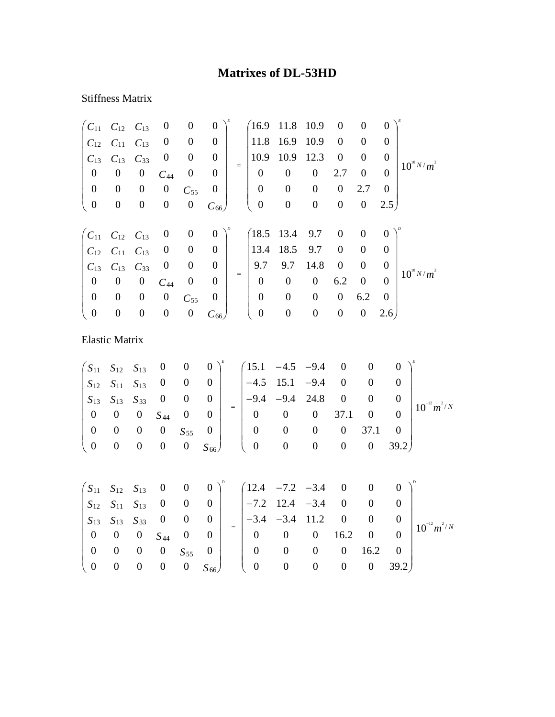## **Matrixes of DL-53HD**

## Stiffness Matrix

| $C_{11}$              | $C_{12}$ $C_{13}$                                        |                  | $\boldsymbol{0}$ | $\boldsymbol{0}$ | $\boldsymbol{0}$ |     | (16.9)           | 11.8             | 10.9             | $\boldsymbol{0}$ | $\boldsymbol{0}$ | $\overline{0}$   |                 |
|-----------------------|----------------------------------------------------------|------------------|------------------|------------------|------------------|-----|------------------|------------------|------------------|------------------|------------------|------------------|-----------------|
| $C_{12}$              | $C_{11}$                                                 | $C_{13}$         | $\boldsymbol{0}$ | $\boldsymbol{0}$ | $\overline{0}$   |     | 11.8             | 16.9             | 10.9             | $\boldsymbol{0}$ | $\boldsymbol{0}$ | $\theta$         |                 |
| $C_{13}$              | $C_{13}$                                                 | $C_{33}$         | $\boldsymbol{0}$ | $\boldsymbol{0}$ | $\overline{0}$   |     | 10.9             | 10.9             | 12.3             | $\boldsymbol{0}$ | $\boldsymbol{0}$ | $\overline{0}$   |                 |
| $\boldsymbol{0}$      | $\boldsymbol{0}$                                         | $\boldsymbol{0}$ | $C_{44}$         | $\boldsymbol{0}$ | $\boldsymbol{0}$ | $=$ | $\overline{0}$   | $\boldsymbol{0}$ | $\boldsymbol{0}$ | 2.7              | $\boldsymbol{0}$ | $\Omega$         | $10^{10} N/m^2$ |
| $\boldsymbol{0}$      | $\boldsymbol{0}$                                         | $\boldsymbol{0}$ | $\boldsymbol{0}$ | $C_{55}$         | $\boldsymbol{0}$ |     | $\boldsymbol{0}$ | $\boldsymbol{0}$ | $\boldsymbol{0}$ | $\boldsymbol{0}$ | 2.7              | $\boldsymbol{0}$ |                 |
| $\boldsymbol{0}$      | $\boldsymbol{0}$                                         | $\boldsymbol{0}$ | $\boldsymbol{0}$ | $\boldsymbol{0}$ | $C_{66}$         |     | $\boldsymbol{0}$ | $\overline{0}$   | $\boldsymbol{0}$ | $\boldsymbol{0}$ | $\boldsymbol{0}$ | 2.5)             |                 |
|                       |                                                          |                  |                  |                  |                  |     |                  |                  |                  |                  |                  |                  |                 |
|                       | $\begin{pmatrix} C_{11} & C_{12} & C_{13} \end{pmatrix}$ |                  | $\boldsymbol{0}$ | $\boldsymbol{0}$ | $\theta$         |     | (18.5)           | 13.4             | 9.7              | $\boldsymbol{0}$ | $\boldsymbol{0}$ | $\overline{0}$   |                 |
| $C_{12}$              | $C_{11}$                                                 | $C_{13}$         | $\boldsymbol{0}$ | $\boldsymbol{0}$ | $\boldsymbol{0}$ |     | 13.4             | 18.5             | 9.7              | $\boldsymbol{0}$ | $\boldsymbol{0}$ | $\Omega$         |                 |
| $C_{13}$              | $C_{13}$                                                 | $C_{33}$         | $\boldsymbol{0}$ | $\boldsymbol{0}$ | $\boldsymbol{0}$ | $=$ | 9.7              | 9.7              | 14.8             | $\boldsymbol{0}$ | $\boldsymbol{0}$ | $\overline{0}$   | $10^{10} N/m^2$ |
| $\boldsymbol{0}$      | $\boldsymbol{0}$                                         | $\boldsymbol{0}$ | $C_{44}$         | $\boldsymbol{0}$ | $\overline{0}$   |     | $\overline{0}$   | $\boldsymbol{0}$ | $\boldsymbol{0}$ | 6.2              | $\theta$         | $\Omega$         |                 |
| $\boldsymbol{0}$      | $\boldsymbol{0}$                                         | $\boldsymbol{0}$ | $\boldsymbol{0}$ | $C_{55}$         | $\boldsymbol{0}$ |     | $\boldsymbol{0}$ | $\boldsymbol{0}$ | $\boldsymbol{0}$ | $\boldsymbol{0}$ | 6.2              | $\overline{0}$   |                 |
| $\mathbf{0}$          | $\boldsymbol{0}$                                         | $\boldsymbol{0}$ | $\boldsymbol{0}$ | $\boldsymbol{0}$ | $C_{66}$         |     | $\boldsymbol{0}$ | $\boldsymbol{0}$ | $\boldsymbol{0}$ | $\boldsymbol{0}$ | $\boldsymbol{0}$ | 2.6)             |                 |
| <b>Elastic Matrix</b> |                                                          |                  |                  |                  |                  |     |                  |                  |                  |                  |                  |                  |                 |
| $S_{11}$              | $S_{12}$                                                 | $S_{13}$         | $\boldsymbol{0}$ | $\boldsymbol{0}$ | $\boldsymbol{0}$ |     | 15.1             | $-4.5$           | $-9.4$           | $\boldsymbol{0}$ | $\boldsymbol{0}$ |                  | 0               |
|                       |                                                          |                  |                  |                  |                  |     |                  |                  |                  |                  |                  |                  |                 |

|  |  |  |                                                                                                     |  | $\begin{vmatrix} S_{12} & S_{11} & S_{13} & 0 & 0 & 0 \end{vmatrix}$ $\begin{vmatrix} -4.5 & 15.1 & -9.4 & 0 & 0 & 0 \end{vmatrix}$ |  |  |                                                     |
|--|--|--|-----------------------------------------------------------------------------------------------------|--|-------------------------------------------------------------------------------------------------------------------------------------|--|--|-----------------------------------------------------|
|  |  |  |                                                                                                     |  |                                                                                                                                     |  |  | $\begin{array}{c c} 0 & 10^{-12} m^2/N \end{array}$ |
|  |  |  | $\begin{vmatrix} S_{13} & S_{13} & S_{33} & 0 & 0 & 0 \ 0 & 0 & 0 & S_{44} & 0 & 0 \end{vmatrix}$ = |  | $\begin{vmatrix} 1 \\ -9.4 & -9.4 & 24.8 & 0 & 0 & 0 \\ 0 & 0 & 0 & 37.1 & 0 & 0 \end{vmatrix}$                                     |  |  |                                                     |
|  |  |  | $\begin{pmatrix} 0 & 0 & 0 & 0 & S_{55} & 0 \ 0 & 0 & 0 & 0 & 0 & S_{66} \end{pmatrix}$             |  | $0 \t 0 \t 0 \t 37.1 \t 0$                                                                                                          |  |  |                                                     |
|  |  |  |                                                                                                     |  | $\begin{pmatrix} 0 & 0 & 0 & 0 & 0 & 39.2 \end{pmatrix}$                                                                            |  |  |                                                     |
|  |  |  |                                                                                                     |  |                                                                                                                                     |  |  |                                                     |

|                                           |                                   |             |                                   |                |          | $\begin{pmatrix} S_{11} & S_{12} & S_{13} & 0 & 0 & 0 \end{pmatrix}^p$ $\begin{pmatrix} 12.4 & -7.2 & -3.4 & 0 & 0 & 0 \end{pmatrix}^p$ |          |                |                |                  |
|-------------------------------------------|-----------------------------------|-------------|-----------------------------------|----------------|----------|-----------------------------------------------------------------------------------------------------------------------------------------|----------|----------------|----------------|------------------|
|                                           |                                   |             |                                   |                |          | $\begin{array}{ c c c c c c c c c } \hline S_{12} & S_{11} & S_{13} & 0 & 0 & 0 & -7.2 & 12.4 & -3.4 & 0 \\ \hline \end{array}$         |          | $\overline{0}$ |                |                  |
|                                           |                                   |             |                                   |                |          | $\begin{array}{ c c c c c c c c c } \hline S_{13} & S_{13} & S_{33} & 0 & 0 & 0 & -3.4 & -3.4 & 11.2 & 0 \\ \hline \end{array}$         |          | $\overline{0}$ |                | $10^{-12} m^2/N$ |
|                                           |                                   |             | $0 \t 0 \t 0 \t S_{44} \t 0 \t 0$ |                |          | $0 \t 0 \t 0 \t 16.2 \t 0$                                                                                                              |          |                |                |                  |
|                                           | $\begin{array}{cc} 0 \end{array}$ | $0\qquad 0$ | $S_{55}$                          | $\overline{0}$ | $\theta$ |                                                                                                                                         | $\theta$ | 16.2           |                |                  |
| $\begin{pmatrix} 0 & 0 & 0 \end{pmatrix}$ |                                   |             |                                   |                |          | $0 S_{66}$ ( 0 0                                                                                                                        |          |                | $0 \quad 39.2$ |                  |